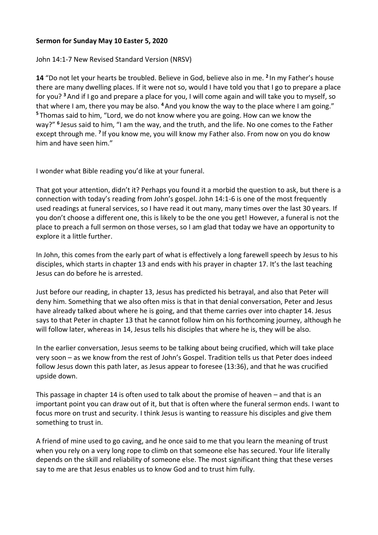## **Sermon for Sunday May 10 Easter 5, 2020**

John 14:1-7 New Revised Standard Version (NRSV)

**14** "Do not let your hearts be troubled. Believe in God, believe also in me. **<sup>2</sup>** In my Father's house there are many dwelling places. If it were not so, would I have told you that I go to prepare a place for you? **<sup>3</sup>**And if I go and prepare a place for you, I will come again and will take you to myself, so that where I am, there you may be also. <sup>4</sup> And you know the way to the place where I am going." **<sup>5</sup>** Thomas said to him, "Lord, we do not know where you are going. How can we know the way?" **<sup>6</sup>** Jesus said to him, "I am the way, and the truth, and the life. No one comes to the Father except through me. <sup>7</sup> If you know me, you will know my Father also. From now on you do know him and have seen him."

I wonder what Bible reading you'd like at your funeral.

That got your attention, didn't it? Perhaps you found it a morbid the question to ask, but there is a connection with today's reading from John's gospel. John 14:1-6 is one of the most frequently used readings at funeral services, so I have read it out many, many times over the last 30 years. If you don't choose a different one, this is likely to be the one you get! However, a funeral is not the place to preach a full sermon on those verses, so I am glad that today we have an opportunity to explore it a little further.

In John, this comes from the early part of what is effectively a long farewell speech by Jesus to his disciples, which starts in chapter 13 and ends with his prayer in chapter 17. It's the last teaching Jesus can do before he is arrested.

Just before our reading, in chapter 13, Jesus has predicted his betrayal, and also that Peter will deny him. Something that we also often miss is that in that denial conversation, Peter and Jesus have already talked about where he is going, and that theme carries over into chapter 14. Jesus says to that Peter in chapter 13 that he cannot follow him on his forthcoming journey, although he will follow later, whereas in 14, Jesus tells his disciples that where he is, they will be also.

In the earlier conversation, Jesus seems to be talking about being crucified, which will take place very soon – as we know from the rest of John's Gospel. Tradition tells us that Peter does indeed follow Jesus down this path later, as Jesus appear to foresee (13:36), and that he was crucified upside down.

This passage in chapter 14 is often used to talk about the promise of heaven – and that is an important point you can draw out of it, but that is often where the funeral sermon ends. I want to focus more on trust and security. I think Jesus is wanting to reassure his disciples and give them something to trust in.

A friend of mine used to go caving, and he once said to me that you learn the meaning of trust when you rely on a very long rope to climb on that someone else has secured. Your life literally depends on the skill and reliability of someone else. The most significant thing that these verses say to me are that Jesus enables us to know God and to trust him fully.